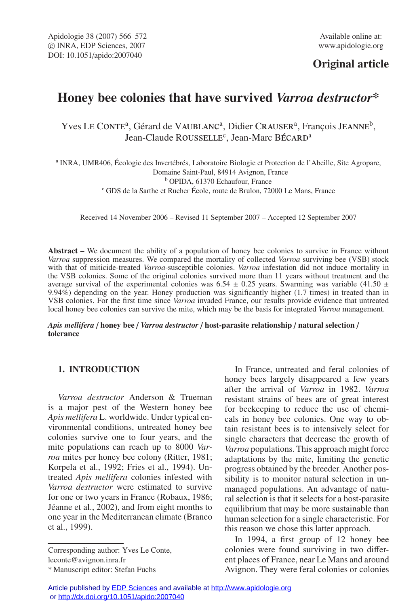## **Original article**

# **Honey bee colonies that have survived** *Varroa destructor***\***

Yves LE CONTE<sup>a</sup>, Gérard de VAUBLANC<sup>a</sup>, Didier CRAUSER<sup>a</sup>, François JEANNE<sup>b</sup>, Jean-Claude ROUSSELLE<sup>c</sup>, Jean-Marc B<mark>ÉCARD<sup>a</sup></mark>

<sup>a</sup> INRA, UMR406, Écologie des Invertébrés, Laboratoire Biologie et Protection de l'Abeille, Site Agroparc, Domaine Saint-Paul, 84914 Avignon, France <sup>b</sup> OPIDA, 61370 Echaufour, France <sup>c</sup> GDS de la Sarthe et Rucher École, route de Brulon, 72000 Le Mans, France

Received 14 November 2006 – Revised 11 September 2007 – Accepted 12 September 2007

**Abstract** – We document the ability of a population of honey bee colonies to survive in France without *Varroa* suppression measures. We compared the mortality of collected *Varroa* surviving bee (VSB) stock with that of miticide-treated *Varroa*-susceptible colonies. *Varroa* infestation did not induce mortality in the VSB colonies. Some of the original colonies survived more than 11 years without treatment and the average survival of the experimental colonies was 6.54  $\pm$  0.25 years. Swarming was variable (41.50  $\pm$ 9.94%) depending on the year. Honey production was significantly higher (1.7 times) in treated than in VSB colonies. For the first time since *Varroa* invaded France, our results provide evidence that untreated local honey bee colonies can survive the mite, which may be the basis for integrated *Varroa* management.

*Apis mellifera* / **honey bee** / *Varroa destructor* / **host-parasite relationship** / **natural selection** / **tolerance**

## **1. INTRODUCTION**

*Varroa destructor* Anderson & Trueman is a major pest of the Western honey bee *Apis mellifera* L. worldwide. Under typical environmental conditions, untreated honey bee colonies survive one to four years, and the mite populations can reach up to 8000 *Varroa* mites per honey bee colony (Ritter, 1981; Korpela et al., 1992; Fries et al., 1994). Untreated *Apis mellifera* colonies infested with *Varroa destructor* were estimated to survive for one or two years in France (Robaux, 1986; Jéanne et al., 2002), and from eight months to one year in the Mediterranean climate (Branco et al., 1999).

Corresponding author: Yves Le Conte, leconte@avignon.inra.fr

In France, untreated and feral colonies of honey bees largely disappeared a few years after the arrival of *Varroa* in 1982. *Varroa* resistant strains of bees are of great interest for beekeeping to reduce the use of chemicals in honey bee colonies. One way to obtain resistant bees is to intensively select for single characters that decrease the growth of *Varroa* populations. This approach might force adaptations by the mite, limiting the genetic progress obtained by the breeder. Another possibility is to monitor natural selection in unmanaged populations. An advantage of natural selection is that it selects for a host-parasite equilibrium that may be more sustainable than human selection for a single characteristic. For this reason we chose this latter approach.

In 1994, a first group of 12 honey bee colonies were found surviving in two different places of France, near Le Mans and around Avignon. They were feral colonies or colonies

<sup>\*</sup> Manuscript editor: Stefan Fuchs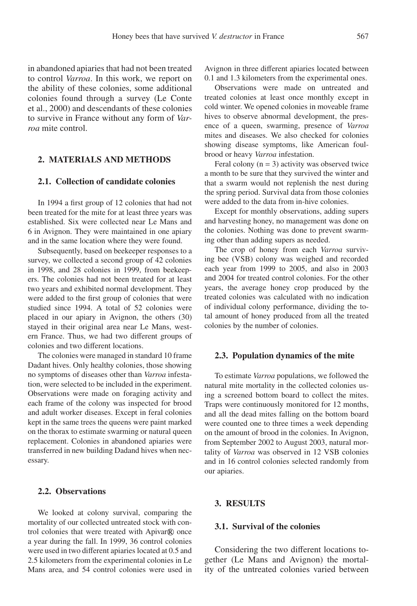in abandoned apiaries that had not been treated to control *Varroa*. In this work, we report on the ability of these colonies, some additional colonies found through a survey (Le Conte et al., 2000) and descendants of these colonies to survive in France without any form of *Varroa* mite control.

## **2. MATERIALS AND METHODS**

## **2.1. Collection of candidate colonies**

In 1994 a first group of 12 colonies that had not been treated for the mite for at least three years was established. Six were collected near Le Mans and 6 in Avignon. They were maintained in one apiary and in the same location where they were found.

Subsequently, based on beekeeper responses to a survey, we collected a second group of 42 colonies in 1998, and 28 colonies in 1999, from beekeepers. The colonies had not been treated for at least two years and exhibited normal development. They were added to the first group of colonies that were studied since 1994. A total of 52 colonies were placed in our apiary in Avignon, the others (30) stayed in their original area near Le Mans, western France. Thus, we had two different groups of colonies and two different locations.

The colonies were managed in standard 10 frame Dadant hives. Only healthy colonies, those showing no symptoms of diseases other than *Varroa* infestation, were selected to be included in the experiment. Observations were made on foraging activity and each frame of the colony was inspected for brood and adult worker diseases. Except in feral colonies kept in the same trees the queens were paint marked on the thorax to estimate swarming or natural queen replacement. Colonies in abandoned apiaries were transferred in new building Dadand hives when necessary.

## **2.2. Observations**

We looked at colony survival, comparing the mortality of our collected untreated stock with control colonies that were treated with Apivar® once a year during the fall. In 1999, 36 control colonies were used in two different apiaries located at 0.5 and 2.5 kilometers from the experimental colonies in Le Mans area, and 54 control colonies were used in Avignon in three different apiaries located between 0.1 and 1.3 kilometers from the experimental ones.

Observations were made on untreated and treated colonies at least once monthly except in cold winter. We opened colonies in moveable frame hives to observe abnormal development, the presence of a queen, swarming, presence of *Varroa* mites and diseases. We also checked for colonies showing disease symptoms, like American foulbrood or heavy *Varroa* infestation.

Feral colony  $(n = 3)$  activity was observed twice a month to be sure that they survived the winter and that a swarm would not replenish the nest during the spring period. Survival data from those colonies were added to the data from in-hive colonies.

Except for monthly observations, adding supers and harvesting honey, no management was done on the colonies. Nothing was done to prevent swarming other than adding supers as needed.

The crop of honey from each *Varroa* surviving bee (VSB) colony was weighed and recorded each year from 1999 to 2005, and also in 2003 and 2004 for treated control colonies. For the other years, the average honey crop produced by the treated colonies was calculated with no indication of individual colony performance, dividing the total amount of honey produced from all the treated colonies by the number of colonies.

#### **2.3. Population dynamics of the mite**

To estimate *Varroa* populations, we followed the natural mite mortality in the collected colonies using a screened bottom board to collect the mites. Traps were continuously monitored for 12 months, and all the dead mites falling on the bottom board were counted one to three times a week depending on the amount of brood in the colonies. In Avignon, from September 2002 to August 2003, natural mortality of *Varroa* was observed in 12 VSB colonies and in 16 control colonies selected randomly from our apiaries.

### **3. RESULTS**

#### **3.1. Survival of the colonies**

Considering the two different locations together (Le Mans and Avignon) the mortality of the untreated colonies varied between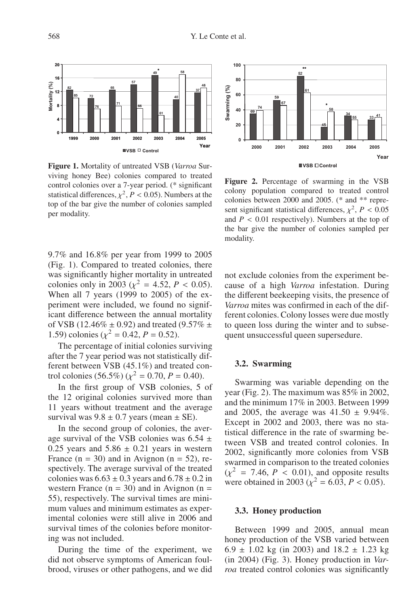

**Figure 1.** Mortality of untreated VSB (*Varroa* Surviving honey Bee) colonies compared to treated control colonies over a 7-year period. (\* significant statistical differences,  $\chi^2$ ,  $P < 0.05$ ). Numbers at the top of the bar give the number of colonies sampled per modality.

9.7% and 16.8% per year from 1999 to 2005 (Fig. 1). Compared to treated colonies, there was significantly higher mortality in untreated colonies only in 2003 ( $\chi^2 = 4.52$ ,  $P < 0.05$ ). When all 7 years (1999 to 2005) of the experiment were included, we found no significant difference between the annual mortality of VSB (12.46%  $\pm$  0.92) and treated (9.57%  $\pm$ 1.59) colonies ( $\chi^2 = 0.42$ ,  $P = 0.52$ ).

The percentage of initial colonies surviving after the 7 year period was not statistically different between VSB (45.1%) and treated control colonies (56.5%) ( $\chi^2 = 0.70$ ,  $P = 0.40$ ).

In the first group of VSB colonies, 5 of the 12 original colonies survived more than 11 years without treatment and the average survival was  $9.8 \pm 0.7$  years (mean  $\pm$  SE).

In the second group of colonies, the average survival of the VSB colonies was  $6.54 \pm$ 0.25 years and  $5.86 \pm 0.21$  years in western France  $(n = 30)$  and in Avignon  $(n = 52)$ , respectively. The average survival of the treated colonies was  $6.63 \pm 0.3$  years and  $6.78 \pm 0.2$  in western France  $(n = 30)$  and in Avignon  $(n = 10)$ 55), respectively. The survival times are minimum values and minimum estimates as experimental colonies were still alive in 2006 and survival times of the colonies before monitoring was not included.

During the time of the experiment, we did not observe symptoms of American foulbrood, viruses or other pathogens, and we did



**Figure 2.** Percentage of swarming in the VSB colony population compared to treated control colonies between 2000 and 2005. (\* and \*\* represent significant statistical differences,  $\chi^2$ ,  $P < 0.05$ and  $P < 0.01$  respectively). Numbers at the top of the bar give the number of colonies sampled per modality.

not exclude colonies from the experiment because of a high *Varroa* infestation. During the different beekeeping visits, the presence of *Varroa* mites was confirmed in each of the different colonies. Colony losses were due mostly to queen loss during the winter and to subsequent unsuccessful queen supersedure.

#### **3.2. Swarming**

Swarming was variable depending on the year (Fig. 2). The maximum was 85% in 2002, and the minimum 17% in 2003. Between 1999 and 2005, the average was  $41.50 \pm 9.94\%$ . Except in 2002 and 2003, there was no statistical difference in the rate of swarming between VSB and treated control colonies. In 2002, significantly more colonies from VSB swarmed in comparison to the treated colonies  $(\chi^2 = 7.46, P < 0.01)$ , and opposite results were obtained in 2003 ( $\chi^2 = 6.03$ ,  $P < 0.05$ ).

#### **3.3. Honey production**

Between 1999 and 2005, annual mean honey production of the VSB varied between 6.9  $\pm$  1.02 kg (in 2003) and 18.2  $\pm$  1.23 kg (in 2004) (Fig. 3). Honey production in *Varroa* treated control colonies was significantly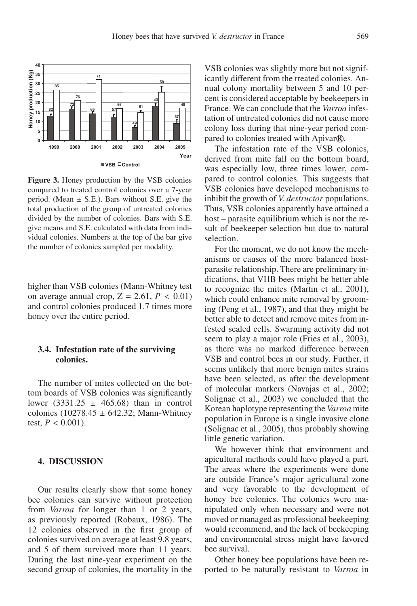

**Figure 3.** Honey production by the VSB colonies compared to treated control colonies over a 7-year period. (Mean  $\pm$  S.E.). Bars without S.E. give the total production of the group of untreated colonies divided by the number of colonies. Bars with S.E. give means and S.E. calculated with data from individual colonies. Numbers at the top of the bar give the number of colonies sampled per modality.

higher than VSB colonies (Mann-Whitney test on average annual crop,  $Z = 2.61$ ,  $P < 0.01$ ) and control colonies produced 1.7 times more honey over the entire period.

## **3.4. Infestation rate of the surviving colonies.**

The number of mites collected on the bottom boards of VSB colonies was significantly lower (3331.25  $\pm$  465.68) than in control colonies (10278.45  $\pm$  642.32; Mann-Whitney test,  $P < 0.001$ ).

#### **4. DISCUSSION**

Our results clearly show that some honey bee colonies can survive without protection from *Varroa* for longer than 1 or 2 years, as previously reported (Robaux, 1986). The 12 colonies observed in the first group of colonies survived on average at least 9.8 years, and 5 of them survived more than 11 years. During the last nine-year experiment on the second group of colonies, the mortality in the VSB colonies was slightly more but not significantly different from the treated colonies. Annual colony mortality between 5 and 10 percent is considered acceptable by beekeepers in France. We can conclude that the *Varroa* infestation of untreated colonies did not cause more colony loss during that nine-year period compared to colonies treated with Apivar®.

The infestation rate of the VSB colonies, derived from mite fall on the bottom board, was especially low, three times lower, compared to control colonies. This suggests that VSB colonies have developed mechanisms to inhibit the growth of *V. destructor* populations. Thus, VSB colonies apparently have attained a host – parasite equilibrium which is not the result of beekeeper selection but due to natural selection.

For the moment, we do not know the mechanisms or causes of the more balanced hostparasite relationship. There are preliminary indications, that VHB bees might be better able to recognize the mites (Martin et al., 2001), which could enhance mite removal by grooming (Peng et al., 1987), and that they might be better able to detect and remove mites from infested sealed cells. Swarming activity did not seem to play a major role (Fries et al., 2003), as there was no marked difference between VSB and control bees in our study. Further, it seems unlikely that more benign mites strains have been selected, as after the development of molecular markers (Navajas et al., 2002; Solignac et al., 2003) we concluded that the Korean haplotype representing the *Varroa* mite population in Europe is a single invasive clone (Solignac et al., 2005), thus probably showing little genetic variation.

We however think that environment and apicultural methods could have played a part. The areas where the experiments were done are outside France's major agricultural zone and very favorable to the development of honey bee colonies. The colonies were manipulated only when necessary and were not moved or managed as professional beekeeping would recommend, and the lack of beekeeping and environmental stress might have favored bee survival.

Other honey bee populations have been reported to be naturally resistant to *Varroa* in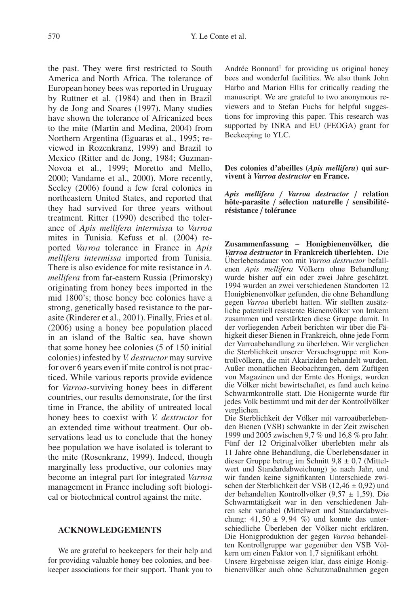the past. They were first restricted to South America and North Africa. The tolerance of European honey bees was reported in Uruguay by Ruttner et al. (1984) and then in Brazil by de Jong and Soares (1997). Many studies have shown the tolerance of Africanized bees to the mite (Martin and Medina, 2004) from Northern Argentina (Eguaras et al., 1995; reviewed in Rozenkranz, 1999) and Brazil to Mexico (Ritter and de Jong, 1984; Guzman-Novoa et al., 1999; Moretto and Mello, 2000; Vandame et al., 2000). More recently, Seeley (2006) found a few feral colonies in northeastern United States, and reported that they had survived for three years without treatment. Ritter (1990) described the tolerance of *Apis mellifera intermissa* to *Varroa* mites in Tunisia. Kefuss et al. (2004) reported *Varroa* tolerance in France in *Apis mellifera intermissa* imported from Tunisia. There is also evidence for mite resistance in *A. mellifera* from far-eastern Russia (Primorsky) originating from honey bees imported in the mid 1800's; those honey bee colonies have a strong, genetically based resistance to the parasite (Rinderer et al., 2001). Finally, Fries et al. (2006) using a honey bee population placed in an island of the Baltic sea, have shown that some honey bee colonies (5 of 150 initial colonies) infested by *V. destructor* may survive for over 6 years even if mite control is not practiced. While various reports provide evidence for *Varroa*-surviving honey bees in different countries, our results demonstrate, for the first time in France, the ability of untreated local honey bees to coexist with *V. destructor* for an extended time without treatment. Our observations lead us to conclude that the honey bee population we have isolated is tolerant to the mite (Rosenkranz, 1999). Indeed, though marginally less productive, our colonies may become an integral part for integrated *Varroa* management in France including soft biological or biotechnical control against the mite.

## **ACKNOWLEDGEMENTS**

We are grateful to beekeepers for their help and for providing valuable honey bee colonies, and beekeeper associations for their support. Thank you to Andrée Bonnard† for providing us original honey bees and wonderful facilities. We also thank John Harbo and Marion Ellis for critically reading the manuscript. We are grateful to two anonymous reviewers and to Stefan Fuchs for helpful suggestions for improving this paper. This research was supported by INRA and EU (FEOGA) grant for Beekeeping to YLC.

#### **Des colonies d'abeilles (***Apis mellifera***) qui survivent à** *Varroa destructor* **en France.**

*Apis mellifera* / *Varroa destructor* / **relation hôte-parasite** / **sélection naturelle** / **sensibilitérésistance** / **tolérance**

**Zusammenfassung** – **Honigbienenvölker, die** *Varroa destructor* **in Frankreich überlebten.** Die Überlebensdauer von mit *Varroa destructor* befallenen *Apis mellifera* Völkern ohne Behandlung wurde bisher auf ein oder zwei Jahre geschätzt. 1994 wurden an zwei verschiedenen Standorten 12 Honigbienenvölker gefunden, die ohne Behandlung gegen *Varroa* überlebt hatten. Wir stellten zusätzliche potentiell resistente Bienenvölker von Imkern zusammen und verstärkten diese Gruppe damit. In der vorliegenden Arbeit berichten wir über die Fähigkeit dieser Bienen in Frankreich, ohne jede Form der Varroabehandlung zu überleben. Wir verglichen die Sterblichkeit unserer Versuchsgruppe mit Kontrollvölkern, die mit Akariziden behandelt wurden. Außer monatlichen Beobachtungen, dem Zufügen von Magazinen und der Ernte des Honigs, wurden die Völker nicht bewirtschaftet, es fand auch keine Schwarmkontrolle statt. Die Honigernte wurde für jedes Volk bestimmt und mit der der Kontrollvölker verglichen.

Die Sterblichkeit der Völker mit varroaüberlebenden Bienen (VSB) schwankte in der Zeit zwischen 1999 und 2005 zwischen 9,7 % und 16,8 % pro Jahr. Fünf der 12 Originalvölker überlebten mehr als 11 Jahre ohne Behandlung, die Überlebensdauer in dieser Gruppe betrug im Schnitt  $9.8 \pm 0.7$  (Mittelwert und Standardabweichung) je nach Jahr, und wir fanden keine signifikanten Unterschiede zwischen der Sterblichkeit der VSB (12,46  $\pm$  0,92) und der behandelten Kontrollvölker (9,57 ± 1,59). Die Schwarmtätigkeit war in den verschiedenen Jahren sehr variabel (Mittelwert und Standardabweichung:  $41,50 \pm 9,94$  %) und konnte das unterschiedliche Überleben der Völker nicht erklären. Die Honigproduktion der gegen *Varroa* behandelten Kontrollgruppe war gegenüber den VSB Völkern um einen Faktor von 1,7 signifikant erhöht. Unsere Ergebnisse zeigen klar, dass einige Honigbienenvölker auch ohne Schutzmaßnahmen gegen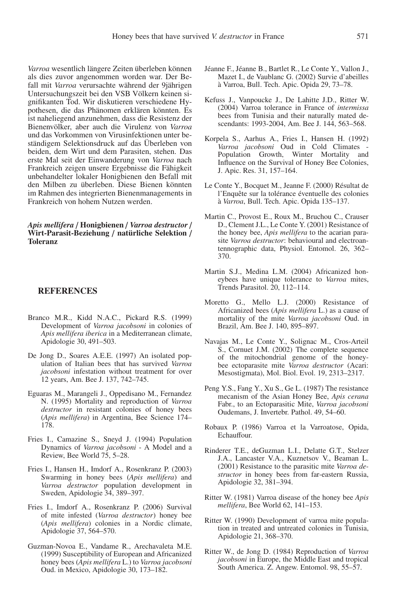*Varroa* wesentlich längere Zeiten überleben können als dies zuvor angenommen worden war. Der Befall mit *Varroa* verursachte während der 9jährigen Untersuchungszeit bei den VSB Völkern keinen signifikanten Tod. Wir diskutieren verschiedene Hypothesen, die das Phänomen erklären könnten. Es ist naheliegend anzunehmen, dass die Resistenz der Bienenvölker, aber auch die Virulenz von *Varroa* und das Vorkommen von Virusinfektionen unter beständigem Selektionsdruck auf das Überleben von beiden, dem Wirt und dem Parasiten, stehen. Das erste Mal seit der Einwanderung von *Varroa* nach Frankreich zeigen unsere Ergebnisse die Fähigkeit unbehandelter lokaler Honigbienen den Befall mit den Milben zu überleben. Diese Bienen könnten im Rahmen des integrierten Bienenmanagements in Frankreich von hohem Nutzen werden.

#### *Apis mellifera* / **Honigbienen** / *Varroa destructor* / **Wirt-Parasit-Beziehung** / **natürliche Selektion** / **Toleranz**

#### **REFERENCES**

- Branco M.R., Kidd N.A.C., Pickard R.S. (1999) Development of *Varroa jacobsoni* in colonies of *Apis mellifera iberica* in a Mediterranean climate, Apidologie 30, 491–503.
- De Jong D., Soares A.E.E. (1997) An isolated population of Italian bees that has survived *Varroa jacobsoni* infestation without treatment for over 12 years, Am. Bee J. 137, 742–745.
- Eguaras M., Marangeli J., Oppedisano M., Fernandez N. (1995) Mortality and reproduction of *Varroa destructor* in resistant colonies of honey bees (*Apis mellifera*) in Argentina, Bee Science 174– 178.
- Fries I., Camazine S., Sneyd J. (1994) Population Dynamics of *Varroa jacobsoni* - A Model and a Review, Bee World 75, 5–28.
- Fries I., Hansen H., Imdorf A., Rosenkranz P. (2003) Swarming in honey bees (*Apis mellifera*) and *Varroa destructor* population development in Sweden, Apidologie 34, 389–397.
- Fries I., Imdorf A., Rosenkranz P. (2006) Survival of mite infested (*Varroa destructor*) honey bee (*Apis mellifera*) colonies in a Nordic climate, Apidologie 37, 564–570.
- Guzman-Novoa E., Vandame R., Arechavaleta M.E. (1999) Susceptibility of European and Africanized honey bees (*Apis mellifera* L.) to *Varroa jacobsoni* Oud. in Mexico, Apidologie 30, 173–182.
- Jéanne F., Jéanne B., Bartlet R., Le Conte Y., Vallon J., Mazet I., de Vaublanc G. (2002) Survie d'abeilles à Varroa, Bull. Tech. Apic. Opida 29, 73–78.
- Kefuss J., Vanpoucke J., De Lahitte J.D., Ritter W. (2004) Varroa tolerance in France of *intermissa* bees from Tunisia and their naturally mated descendants: 1993-2004, Am. Bee J. 144, 563–568.
- Korpela S., Aarhus A., Fries I., Hansen H. (1992) *Varroa jacobsoni* Oud in Cold Climates - Population Growth, Winter Mortality and Influence on the Survival of Honey Bee Colonies, J. Apic. Res. 31, 157–164.
- Le Conte Y., Bocquet M., Jeanne F. (2000) Résultat de l'Enquête sur la tolérance éventuelle des colonies à *Varroa*, Bull. Tech. Apic. Opida 135–137.
- Martin C., Provost E., Roux M., Bruchou C., Crauser D., Clement J.L., Le Conte Y. (2001) Resistance of the honey bee, *Apis mellifera* to the acarian parasite *Varroa destructor*: behavioural and electroantennographic data, Physiol. Entomol. 26, 362– 370.
- Martin S.J., Medina L.M. (2004) Africanized honeybees have unique tolerance to *Varroa* mites, Trends Parasitol. 20, 112–114.
- Moretto G., Mello L.J. (2000) Resistance of Africanized bees (*Apis mellifera* L.) as a cause of mortality of the mite *Varroa jacobsoni* Oud. in Brazil, Am. Bee J. 140, 895–897.
- Navajas M., Le Conte Y., Solignac M., Cros-Arteil S., Cornuet J.M. (2002) The complete sequence of the mitochondrial genome of the honeybee ectoparasite mite *Varroa destructor* (Acari: Mesostigmata), Mol. Biol. Evol. 19, 2313–2317.
- Peng Y.S., Fang Y., Xu S., Ge L. (1987) The resistance mecanism of the Asian Honey Bee, *Apis cerana* Fabr., to an Ectoparasitic Mite, *Varroa jacobsoni* Oudemans, J. Invertebr. Pathol. 49, 54–60.
- Robaux P. (1986) Varroa et la Varroatose, Opida, Echauffour.
- Rinderer T.E., deGuzman L.I., Delatte G.T., Stelzer J.A., Lancaster V.A., Kuznetsov V., Beaman L. (2001) Resistance to the parasitic mite *Varroa destructor* in honey bees from far-eastern Russia, Apidologie 32, 381–394.
- Ritter W. (1981) Varroa disease of the honey bee *Apis mellifera*, Bee World 62, 141–153.
- Ritter W. (1990) Development of varroa mite population in treated and untreated colonies in Tunisia, Apidologie 21, 368–370.
- Ritter W., de Jong D. (1984) Reproduction of *Varroa jacobsoni* in Europe, the Middle East and tropical South America. Z. Angew. Entomol. 98, 55–57.